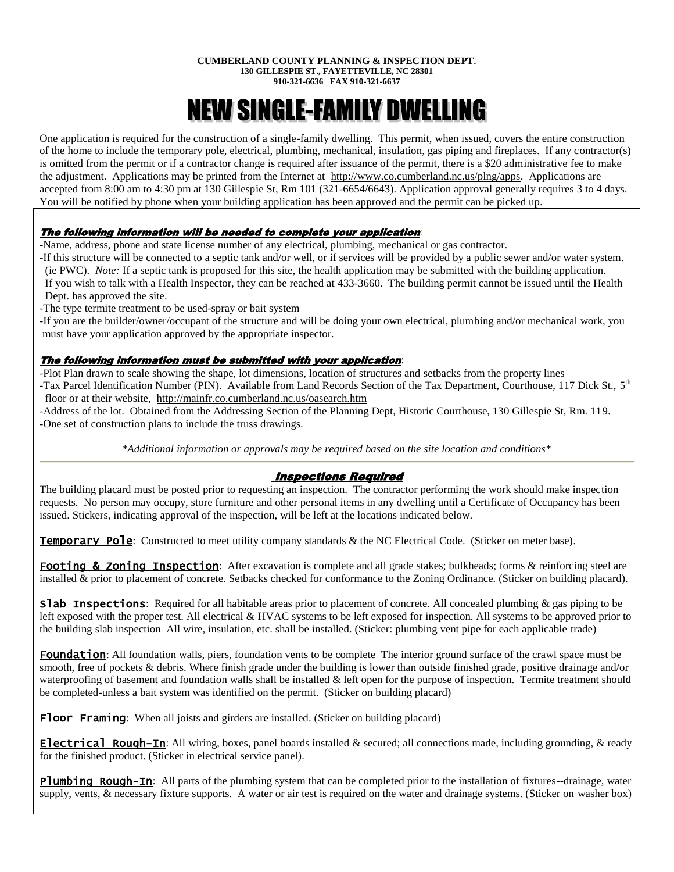#### **CUMBERLAND COUNTY PLANNING & INSPECTION DEPT. 130 GILLESPIE ST., FAYETTEVILLE, NC 28301 910-321-6636 FAX 910-321-6637**

# NEW SINGLE-FAMILY DWELLING

One application is required for the construction of a single-family dwelling. This permit, when issued, covers the entire construction of the home to include the temporary pole, electrical, plumbing, mechanical, insulation, gas piping and fireplaces. If any contractor(s) is omitted from the permit or if a contractor change is required after issuance of the permit, there is a \$20 administrative fee to make the adjustment. Applications may be printed from the Internet at [http://www.co.cumberland.nc.us/plng/apps.](http://www.co.cumberland.nc.us/plng/apps) Applications are accepted from 8:00 am to 4:30 pm at 130 Gillespie St, Rm 101 (321-6654/6643). Application approval generally requires 3 to 4 days. You will be notified by phone when your building application has been approved and the permit can be picked up.

# The following information will be needed to complete your application:

-Name, address, phone and state license number of any electrical, plumbing, mechanical or gas contractor.

-If this structure will be connected to a septic tank and/or well, or if services will be provided by a public sewer and/or water system. (ie PWC). *Note:* If a septic tank is proposed for this site, the health application may be submitted with the building application. If you wish to talk with a Health Inspector, they can be reached at 433-3660. The building permit cannot be issued until the Health Dept. has approved the site.

-The type termite treatment to be used-spray or bait system

-If you are the builder/owner/occupant of the structure and will be doing your own electrical, plumbing and/or mechanical work, you must have your application approved by the appropriate inspector.

# The following information must be submitted with your application:

-Plot Plan drawn to scale showing the shape, lot dimensions, location of structures and setbacks from the property lines

-Tax Parcel Identification Number (PIN). Available from Land Records Section of the Tax Department, Courthouse, 117 Dick St., 5<sup>th</sup> floor or at their website, <http://mainfr.co.cumberland.nc.us/oasearch.htm>

-Address of the lot. Obtained from the Addressing Section of the Planning Dept, Historic Courthouse, 130 Gillespie St, Rm. 119. -One set of construction plans to include the truss drawings.

*\*Additional information or approvals may be required based on the site location and conditions\**

# Inspections Required

The building placard must be posted prior to requesting an inspection. The contractor performing the work should make inspection requests. No person may occupy, store furniture and other personal items in any dwelling until a Certificate of Occupancy has been issued. Stickers, indicating approval of the inspection, will be left at the locations indicated below.

**Temporary Pole:** Constructed to meet utility company standards & the NC Electrical Code. (Sticker on meter base).

Footing & Zoning Inspection: After excavation is complete and all grade stakes; bulkheads; forms & reinforcing steel are installed & prior to placement of concrete. Setbacks checked for conformance to the Zoning Ordinance. (Sticker on building placard).

**Slab Inspections**: Required for all habitable areas prior to placement of concrete. All concealed plumbing  $\&$  gas piping to be left exposed with the proper test. All electrical & HVAC systems to be left exposed for inspection. All systems to be approved prior to the building slab inspection All wire, insulation, etc. shall be installed. (Sticker: plumbing vent pipe for each applicable trade)

Foundation: All foundation walls, piers, foundation vents to be complete The interior ground surface of the crawl space must be smooth, free of pockets & debris. Where finish grade under the building is lower than outside finished grade, positive drainage and/or waterproofing of basement and foundation walls shall be installed & left open for the purpose of inspection. Termite treatment should be completed-unless a bait system was identified on the permit. (Sticker on building placard)

**Floor Framing**: When all joists and girders are installed. (Sticker on building placard)

**Electrical Rough-In:** All wiring, boxes, panel boards installed  $\&$  secured; all connections made, including grounding,  $\&$  ready for the finished product. (Sticker in electrical service panel).

**Plumbing Rough-In:** All parts of the plumbing system that can be completed prior to the installation of fixtures--drainage, water supply, vents, & necessary fixture supports. A water or air test is required on the water and drainage systems. (Sticker on washer box)